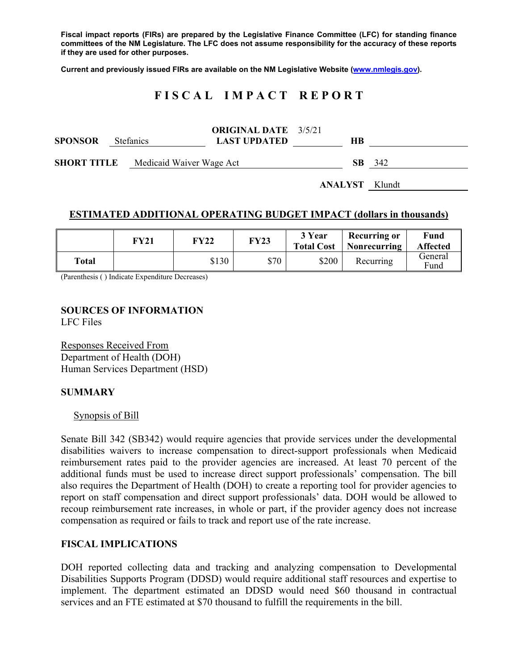**Fiscal impact reports (FIRs) are prepared by the Legislative Finance Committee (LFC) for standing finance committees of the NM Legislature. The LFC does not assume responsibility for the accuracy of these reports if they are used for other purposes.** 

**Current and previously issued FIRs are available on the NM Legislative Website (www.nmlegis.gov).** 

# **F I S C A L I M P A C T R E P O R T**

| <b>SPONSOR</b>                              | Stefanics | <b>ORIGINAL DATE</b> 3/5/21<br><b>LAST UPDATED</b> | HВ                    |     |
|---------------------------------------------|-----------|----------------------------------------------------|-----------------------|-----|
| <b>SHORT TITLE</b> Medicaid Waiver Wage Act |           |                                                    | SB.                   | 342 |
|                                             |           |                                                    | <b>ANALYST</b> Klundt |     |

#### **ESTIMATED ADDITIONAL OPERATING BUDGET IMPACT (dollars in thousands)**

|       | FY21 | FY22  | FY23 | 3 Year<br><b>Total Cost</b> | Recurring or<br>Nonrecurring | Fund<br><b>Affected</b> |
|-------|------|-------|------|-----------------------------|------------------------------|-------------------------|
| Total |      | \$130 | \$70 | \$200                       | Recurring                    | General<br>Fund         |

(Parenthesis ( ) Indicate Expenditure Decreases)

#### **SOURCES OF INFORMATION**  LFC Files

Responses Received From Department of Health (DOH) Human Services Department (HSD)

### **SUMMARY**

#### Synopsis of Bill

Senate Bill 342 (SB342) would require agencies that provide services under the developmental disabilities waivers to increase compensation to direct-support professionals when Medicaid reimbursement rates paid to the provider agencies are increased. At least 70 percent of the additional funds must be used to increase direct support professionals' compensation. The bill also requires the Department of Health (DOH) to create a reporting tool for provider agencies to report on staff compensation and direct support professionals' data. DOH would be allowed to recoup reimbursement rate increases, in whole or part, if the provider agency does not increase compensation as required or fails to track and report use of the rate increase.

### **FISCAL IMPLICATIONS**

DOH reported collecting data and tracking and analyzing compensation to Developmental Disabilities Supports Program (DDSD) would require additional staff resources and expertise to implement. The department estimated an DDSD would need \$60 thousand in contractual services and an FTE estimated at \$70 thousand to fulfill the requirements in the bill.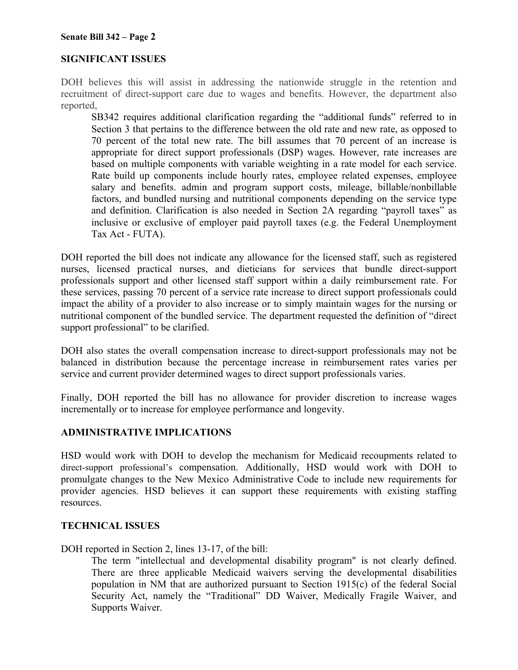## **SIGNIFICANT ISSUES**

DOH believes this will assist in addressing the nationwide struggle in the retention and recruitment of direct-support care due to wages and benefits. However, the department also reported,

SB342 requires additional clarification regarding the "additional funds" referred to in Section 3 that pertains to the difference between the old rate and new rate, as opposed to 70 percent of the total new rate. The bill assumes that 70 percent of an increase is appropriate for direct support professionals (DSP) wages. However, rate increases are based on multiple components with variable weighting in a rate model for each service. Rate build up components include hourly rates, employee related expenses, employee salary and benefits. admin and program support costs, mileage, billable/nonbillable factors, and bundled nursing and nutritional components depending on the service type and definition. Clarification is also needed in Section 2A regarding "payroll taxes" as inclusive or exclusive of employer paid payroll taxes (e.g. the Federal Unemployment Tax Act - FUTA).

DOH reported the bill does not indicate any allowance for the licensed staff, such as registered nurses, licensed practical nurses, and dieticians for services that bundle direct-support professionals support and other licensed staff support within a daily reimbursement rate. For these services, passing 70 percent of a service rate increase to direct support professionals could impact the ability of a provider to also increase or to simply maintain wages for the nursing or nutritional component of the bundled service. The department requested the definition of "direct support professional" to be clarified.

DOH also states the overall compensation increase to direct-support professionals may not be balanced in distribution because the percentage increase in reimbursement rates varies per service and current provider determined wages to direct support professionals varies.

Finally, DOH reported the bill has no allowance for provider discretion to increase wages incrementally or to increase for employee performance and longevity.

# **ADMINISTRATIVE IMPLICATIONS**

HSD would work with DOH to develop the mechanism for Medicaid recoupments related to direct-support professional's compensation. Additionally, HSD would work with DOH to promulgate changes to the New Mexico Administrative Code to include new requirements for provider agencies. HSD believes it can support these requirements with existing staffing resources.

### **TECHNICAL ISSUES**

DOH reported in Section 2, lines 13-17, of the bill:

The term "intellectual and developmental disability program" is not clearly defined. There are three applicable Medicaid waivers serving the developmental disabilities population in NM that are authorized pursuant to Section 1915(c) of the federal Social Security Act, namely the "Traditional" DD Waiver, Medically Fragile Waiver, and Supports Waiver.